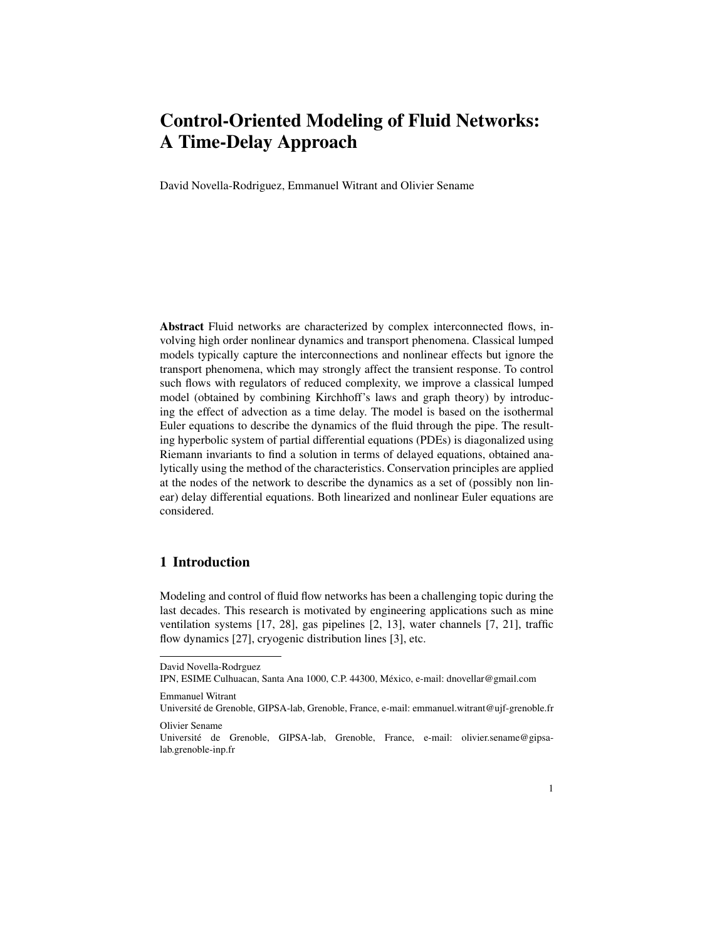David Novella-Rodriguez, Emmanuel Witrant and Olivier Sename

Abstract Fluid networks are characterized by complex interconnected flows, involving high order nonlinear dynamics and transport phenomena. Classical lumped models typically capture the interconnections and nonlinear effects but ignore the transport phenomena, which may strongly affect the transient response. To control such flows with regulators of reduced complexity, we improve a classical lumped model (obtained by combining Kirchhoff's laws and graph theory) by introducing the effect of advection as a time delay. The model is based on the isothermal Euler equations to describe the dynamics of the fluid through the pipe. The resulting hyperbolic system of partial differential equations (PDEs) is diagonalized using Riemann invariants to find a solution in terms of delayed equations, obtained analytically using the method of the characteristics. Conservation principles are applied at the nodes of the network to describe the dynamics as a set of (possibly non linear) delay differential equations. Both linearized and nonlinear Euler equations are considered.

## 1 Introduction

Modeling and control of fluid flow networks has been a challenging topic during the last decades. This research is motivated by engineering applications such as mine ventilation systems [17, 28], gas pipelines [2, 13], water channels [7, 21], traffic flow dynamics [27], cryogenic distribution lines [3], etc.

David Novella-Rodrguez

IPN, ESIME Culhuacan, Santa Ana 1000, C.P. 44300, Mexico, e-mail: dnovellar@gmail.com ´

Emmanuel Witrant

Universite de Grenoble, GIPSA-lab, Grenoble, France, e-mail: emmanuel.witrant@ujf-grenoble.fr ´ Olivier Sename

Université de Grenoble, GIPSA-lab, Grenoble, France, e-mail: olivier.sename@gipsalab.grenoble-inp.fr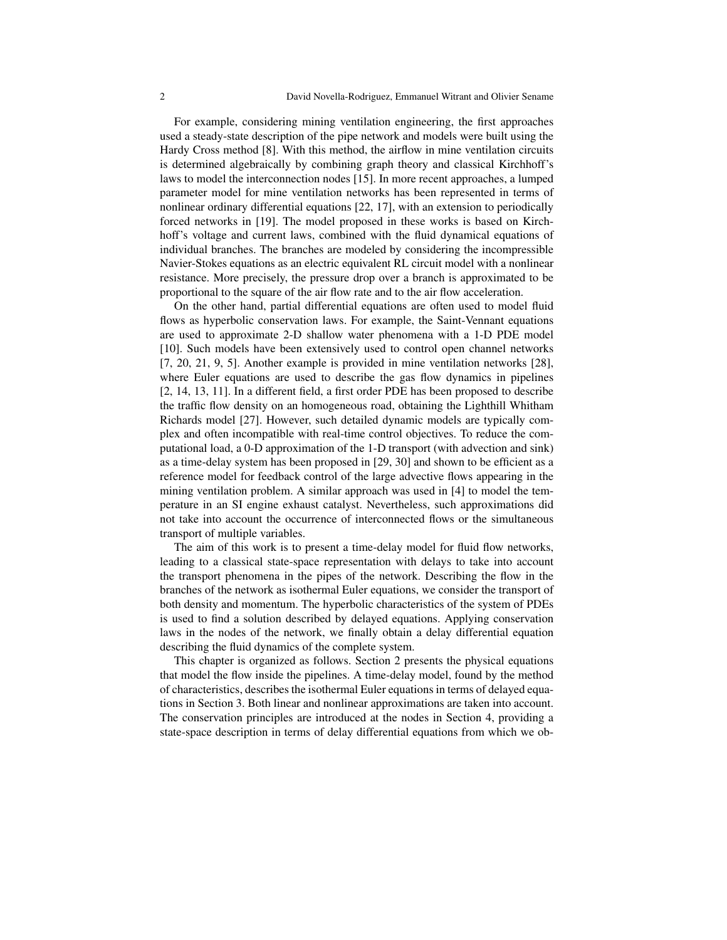For example, considering mining ventilation engineering, the first approaches used a steady-state description of the pipe network and models were built using the Hardy Cross method [8]. With this method, the airflow in mine ventilation circuits is determined algebraically by combining graph theory and classical Kirchhoff's laws to model the interconnection nodes [15]. In more recent approaches, a lumped parameter model for mine ventilation networks has been represented in terms of nonlinear ordinary differential equations [22, 17], with an extension to periodically forced networks in [19]. The model proposed in these works is based on Kirchhoff's voltage and current laws, combined with the fluid dynamical equations of individual branches. The branches are modeled by considering the incompressible Navier-Stokes equations as an electric equivalent RL circuit model with a nonlinear resistance. More precisely, the pressure drop over a branch is approximated to be proportional to the square of the air flow rate and to the air flow acceleration.

On the other hand, partial differential equations are often used to model fluid flows as hyperbolic conservation laws. For example, the Saint-Vennant equations are used to approximate 2-D shallow water phenomena with a 1-D PDE model [10]. Such models have been extensively used to control open channel networks [7, 20, 21, 9, 5]. Another example is provided in mine ventilation networks [28], where Euler equations are used to describe the gas flow dynamics in pipelines [2, 14, 13, 11]. In a different field, a first order PDE has been proposed to describe the traffic flow density on an homogeneous road, obtaining the Lighthill Whitham Richards model [27]. However, such detailed dynamic models are typically complex and often incompatible with real-time control objectives. To reduce the computational load, a 0-D approximation of the 1-D transport (with advection and sink) as a time-delay system has been proposed in [29, 30] and shown to be efficient as a reference model for feedback control of the large advective flows appearing in the mining ventilation problem. A similar approach was used in [4] to model the temperature in an SI engine exhaust catalyst. Nevertheless, such approximations did not take into account the occurrence of interconnected flows or the simultaneous transport of multiple variables.

The aim of this work is to present a time-delay model for fluid flow networks, leading to a classical state-space representation with delays to take into account the transport phenomena in the pipes of the network. Describing the flow in the branches of the network as isothermal Euler equations, we consider the transport of both density and momentum. The hyperbolic characteristics of the system of PDEs is used to find a solution described by delayed equations. Applying conservation laws in the nodes of the network, we finally obtain a delay differential equation describing the fluid dynamics of the complete system.

This chapter is organized as follows. Section 2 presents the physical equations that model the flow inside the pipelines. A time-delay model, found by the method of characteristics, describes the isothermal Euler equations in terms of delayed equations in Section 3. Both linear and nonlinear approximations are taken into account. The conservation principles are introduced at the nodes in Section 4, providing a state-space description in terms of delay differential equations from which we ob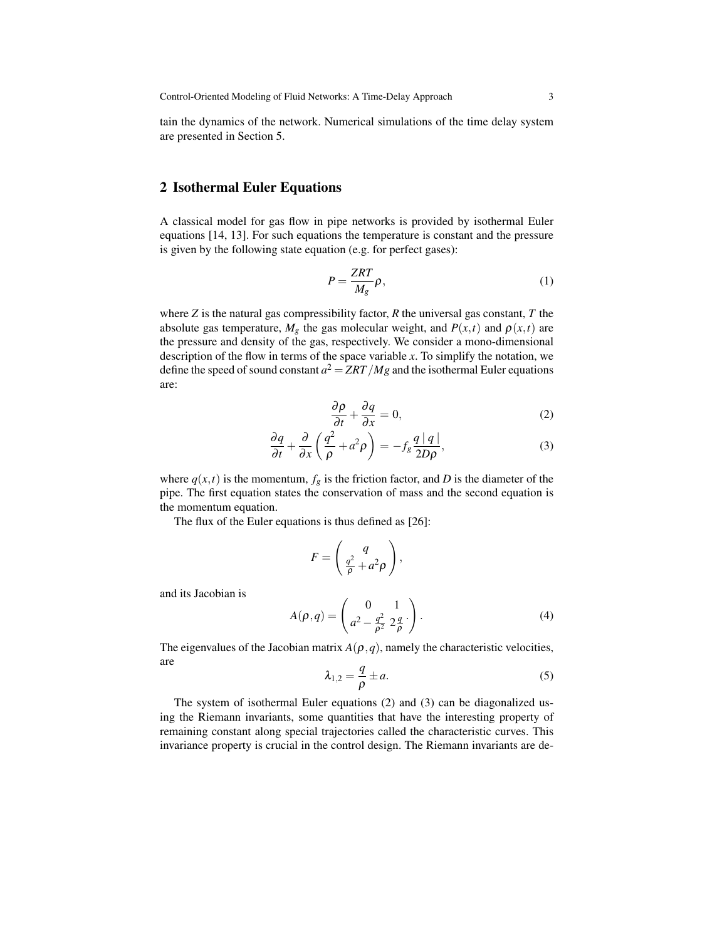tain the dynamics of the network. Numerical simulations of the time delay system are presented in Section 5.

#### 2 Isothermal Euler Equations

A classical model for gas flow in pipe networks is provided by isothermal Euler equations [14, 13]. For such equations the temperature is constant and the pressure is given by the following state equation (e.g. for perfect gases):

$$
P = \frac{ZRT}{M_g} \rho,\tag{1}
$$

where *Z* is the natural gas compressibility factor, *R* the universal gas constant, *T* the absolute gas temperature,  $M_g$  the gas molecular weight, and  $P(x,t)$  and  $\rho(x,t)$  are the pressure and density of the gas, respectively. We consider a mono-dimensional description of the flow in terms of the space variable *x*. To simplify the notation, we define the speed of sound constant  $a^2 = ZRT/Mg$  and the isothermal Euler equations are:

$$
\frac{\partial \rho}{\partial t} + \frac{\partial q}{\partial x} = 0, \tag{2}
$$

$$
\frac{\partial q}{\partial t} + \frac{\partial}{\partial x} \left( \frac{q^2}{\rho} + a^2 \rho \right) = -f_g \frac{q \mid q \mid}{2D\rho},\tag{3}
$$

where  $q(x,t)$  is the momentum,  $f_g$  is the friction factor, and *D* is the diameter of the pipe. The first equation states the conservation of mass and the second equation is the momentum equation.

The flux of the Euler equations is thus defined as [26]:

$$
F = \left(\frac{q}{\frac{q^2}{\rho} + a^2 \rho}\right),
$$

and its Jacobian is

$$
A(\rho, q) = \begin{pmatrix} 0 & 1 \\ a^2 - \frac{q^2}{\rho^2} \ 2\frac{q}{\rho} \end{pmatrix} . \tag{4}
$$

The eigenvalues of the Jacobian matrix  $A(\rho, q)$ , namely the characteristic velocities, are

$$
\lambda_{1,2} = \frac{q}{\rho} \pm a. \tag{5}
$$

The system of isothermal Euler equations (2) and (3) can be diagonalized using the Riemann invariants, some quantities that have the interesting property of remaining constant along special trajectories called the characteristic curves. This invariance property is crucial in the control design. The Riemann invariants are de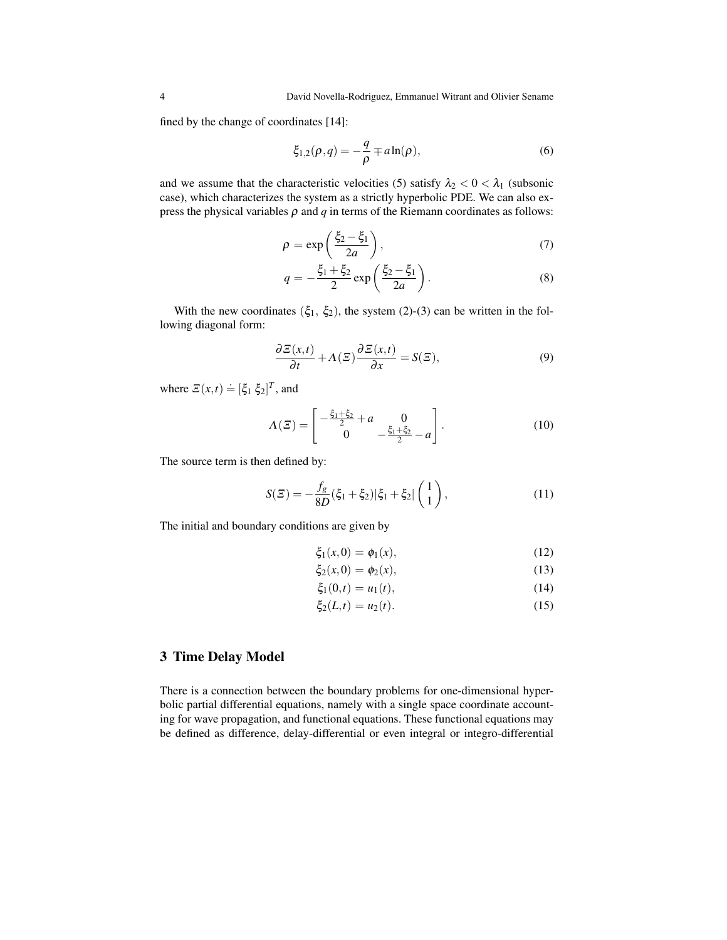fined by the change of coordinates [14]:

$$
\xi_{1,2}(\rho,q) = -\frac{q}{\rho} \mp a \ln(\rho),\tag{6}
$$

and we assume that the characteristic velocities (5) satisfy  $\lambda_2 < 0 < \lambda_1$  (subsonic case), which characterizes the system as a strictly hyperbolic PDE. We can also express the physical variables  $\rho$  and  $q$  in terms of the Riemann coordinates as follows:

$$
\rho = \exp\left(\frac{\xi_2 - \xi_1}{2a}\right),\tag{7}
$$

$$
q = -\frac{\xi_1 + \xi_2}{2} \exp\left(\frac{\xi_2 - \xi_1}{2a}\right).
$$
 (8)

With the new coordinates  $(\xi_1, \xi_2)$ , the system (2)-(3) can be written in the following diagonal form:

$$
\frac{\partial \Sigma(x,t)}{\partial t} + \Lambda(\Sigma) \frac{\partial \Sigma(x,t)}{\partial x} = S(\Sigma),\tag{9}
$$

where  $\mathbf{E}(x,t) \doteq [\xi_1 \xi_2]^T$ , and

$$
\Lambda(\Xi) = \begin{bmatrix} -\frac{\xi_1 + \xi_2}{2} + a & 0\\ 0 & -\frac{\xi_1 + \xi_2}{2} - a \end{bmatrix}.
$$
 (10)

The source term is then defined by:

$$
S(\Xi) = -\frac{f_g}{8D}(\xi_1 + \xi_2)|\xi_1 + \xi_2| \begin{pmatrix} 1\\1 \end{pmatrix},
$$
\n(11)

The initial and boundary conditions are given by

$$
\xi_1(x,0) = \phi_1(x), \tag{12}
$$

$$
\xi_2(x,0) = \phi_2(x),
$$
\n(13)

$$
\xi_1(0,t) = u_1(t),\tag{14}
$$

$$
\xi_2(L,t) = u_2(t). \tag{15}
$$

# 3 Time Delay Model

There is a connection between the boundary problems for one-dimensional hyperbolic partial differential equations, namely with a single space coordinate accounting for wave propagation, and functional equations. These functional equations may be defined as difference, delay-differential or even integral or integro-differential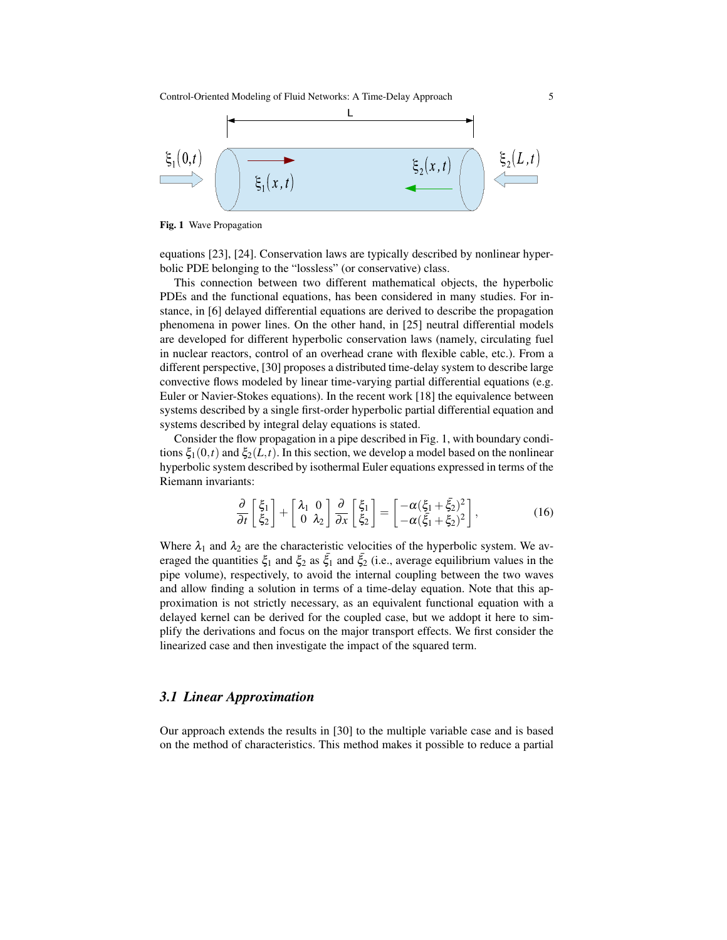

Fig. 1 Wave Propagation

equations [23], [24]. Conservation laws are typically described by nonlinear hyperbolic PDE belonging to the "lossless" (or conservative) class.

This connection between two different mathematical objects, the hyperbolic PDEs and the functional equations, has been considered in many studies. For instance, in [6] delayed differential equations are derived to describe the propagation phenomena in power lines. On the other hand, in [25] neutral differential models are developed for different hyperbolic conservation laws (namely, circulating fuel in nuclear reactors, control of an overhead crane with flexible cable, etc.). From a different perspective, [30] proposes a distributed time-delay system to describe large convective flows modeled by linear time-varying partial differential equations (e.g. Euler or Navier-Stokes equations). In the recent work [18] the equivalence between systems described by a single first-order hyperbolic partial differential equation and systems described by integral delay equations is stated.

Consider the flow propagation in a pipe described in Fig. 1, with boundary conditions  $\xi_1(0,t)$  and  $\xi_2(L,t)$ . In this section, we develop a model based on the nonlinear hyperbolic system described by isothermal Euler equations expressed in terms of the Riemann invariants:

$$
\frac{\partial}{\partial t} \begin{bmatrix} \xi_1 \\ \xi_2 \end{bmatrix} + \begin{bmatrix} \lambda_1 & 0 \\ 0 & \lambda_2 \end{bmatrix} \frac{\partial}{\partial x} \begin{bmatrix} \xi_1 \\ \xi_2 \end{bmatrix} = \begin{bmatrix} -\alpha(\xi_1 + \xi_2)^2 \\ -\alpha(\xi_1 + \xi_2)^2 \end{bmatrix},
$$
(16)

Where  $\lambda_1$  and  $\lambda_2$  are the characteristic velocities of the hyperbolic system. We averaged the quantities  $\xi_1$  and  $\xi_2$  as  $\xi_1$  and  $\xi_2$  (i.e., average equilibrium values in the pipe volume), respectively, to avoid the internal coupling between the two waves and allow finding a solution in terms of a time-delay equation. Note that this approximation is not strictly necessary, as an equivalent functional equation with a delayed kernel can be derived for the coupled case, but we addopt it here to simplify the derivations and focus on the major transport effects. We first consider the linearized case and then investigate the impact of the squared term.

#### *3.1 Linear Approximation*

Our approach extends the results in [30] to the multiple variable case and is based on the method of characteristics. This method makes it possible to reduce a partial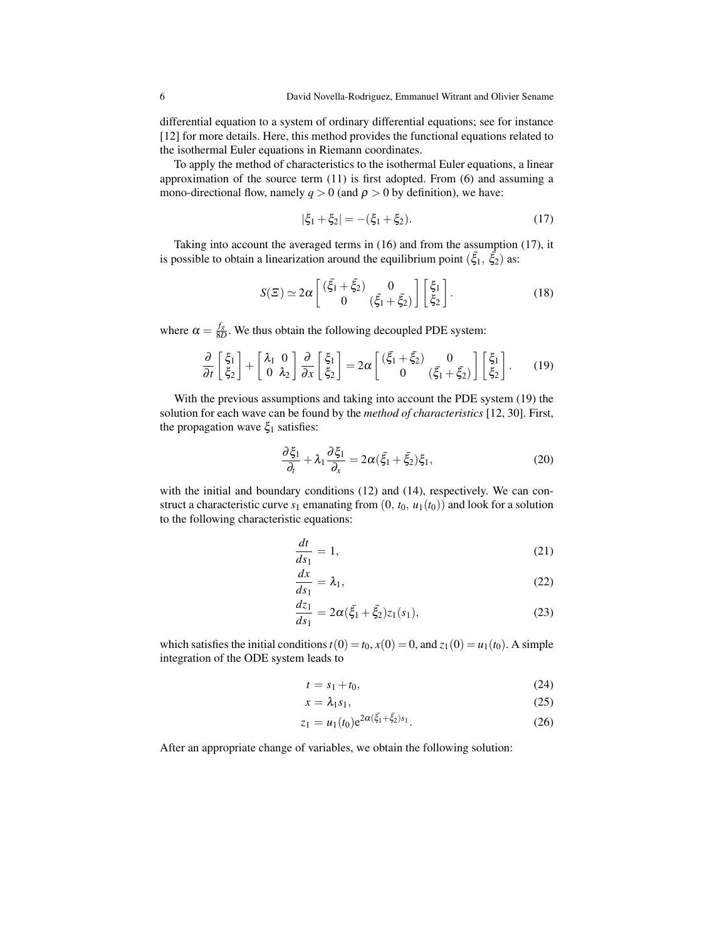differential equation to a system of ordinary differential equations; see for instance [12] for more details. Here, this method provides the functional equations related to the isothermal Euler equations in Riemann coordinates.

To apply the method of characteristics to the isothermal Euler equations, a linear approximation of the source term (11) is first adopted. From (6) and assuming a mono-directional flow, namely  $q > 0$  (and  $p > 0$  by definition), we have:

$$
|\xi_1 + \xi_2| = -(\xi_1 + \xi_2). \tag{17}
$$

Taking into account the averaged terms in (16) and from the assumption (17), it is possible to obtain a linearization around the equilibrium point  $(\bar{\xi}_1, \bar{\xi}_2)$  as:

$$
S(\Xi) \simeq 2\alpha \begin{bmatrix} (\bar{\xi}_1 + \bar{\xi}_2) & 0\\ 0 & (\bar{\xi}_1 + \bar{\xi}_2) \end{bmatrix} \begin{bmatrix} \xi_1\\ \xi_2 \end{bmatrix}.
$$
 (18)

where  $\alpha = \frac{f_g}{8L}$  $\frac{Jg}{8D}$ . We thus obtain the following decoupled PDE system:

$$
\frac{\partial}{\partial t} \begin{bmatrix} \xi_1 \\ \xi_2 \end{bmatrix} + \begin{bmatrix} \lambda_1 & 0 \\ 0 & \lambda_2 \end{bmatrix} \frac{\partial}{\partial x} \begin{bmatrix} \xi_1 \\ \xi_2 \end{bmatrix} = 2\alpha \begin{bmatrix} (\bar{\xi}_1 + \bar{\xi}_2) & 0 \\ 0 & (\bar{\xi}_1 + \bar{\xi}_2) \end{bmatrix} \begin{bmatrix} \xi_1 \\ \xi_2 \end{bmatrix}.
$$
 (19)

With the previous assumptions and taking into account the PDE system (19) the solution for each wave can be found by the *method of characteristics* [12, 30]. First, the propagation wave  $\xi_1$  satisfies:

$$
\frac{\partial \xi_1}{\partial_t} + \lambda_1 \frac{\partial \xi_1}{\partial_x} = 2\alpha (\bar{\xi}_1 + \bar{\xi}_2) \xi_1, \tag{20}
$$

with the initial and boundary conditions (12) and (14), respectively. We can construct a characteristic curve  $s_1$  emanating from  $(0, t_0, u_1(t_0))$  and look for a solution to the following characteristic equations:

$$
\frac{dt}{ds_1} = 1,\t(21)
$$

$$
\frac{dx}{ds_1} = \lambda_1,\tag{22}
$$

$$
\frac{dz_1}{ds_1} = 2\alpha(\bar{\xi}_1 + \bar{\xi}_2)z_1(s_1),\tag{23}
$$

which satisfies the initial conditions  $t(0) = t_0$ ,  $x(0) = 0$ , and  $z_1(0) = u_1(t_0)$ . A simple integration of the ODE system leads to

$$
t = s_1 + t_0,\tag{24}
$$

$$
x = \lambda_1 s_1,\tag{25}
$$

$$
z_1 = u_1(t_0) e^{2\alpha(\xi_1 + \xi_2)s_1}.
$$
 (26)

After an appropriate change of variables, we obtain the following solution: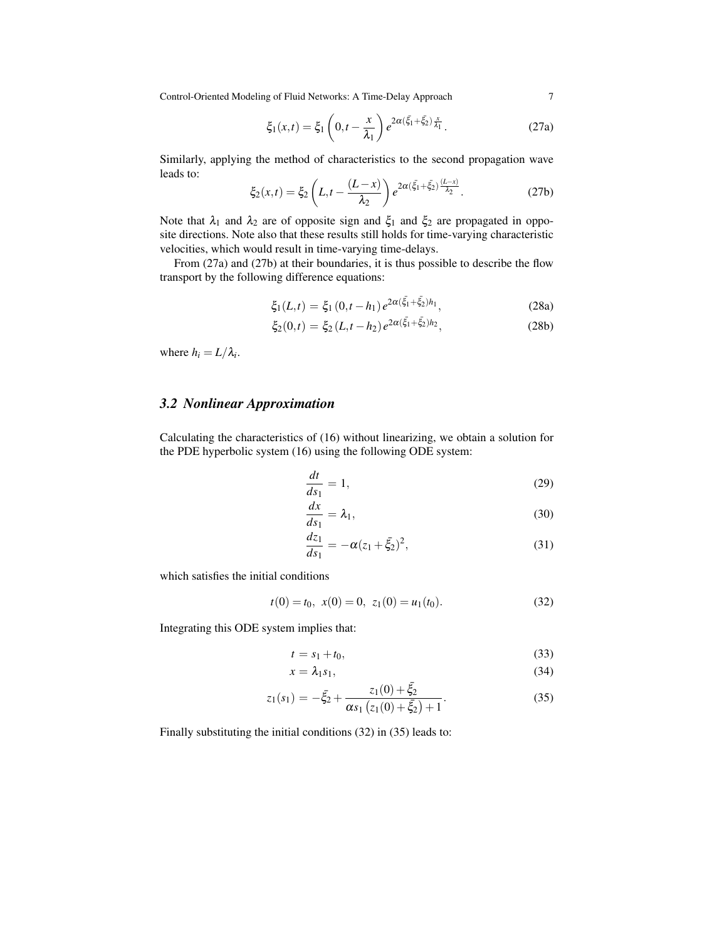$$
\xi_1(x,t) = \xi_1 \left( 0, t - \frac{x}{\lambda_1} \right) e^{2\alpha (\tilde{\xi}_1 + \tilde{\xi}_2) \frac{x}{\lambda_1}}.
$$
 (27a)

Similarly, applying the method of characteristics to the second propagation wave leads to:

$$
\xi_2(x,t) = \xi_2 \left( L, t - \frac{(L-x)}{\lambda_2} \right) e^{2\alpha (\xi_1 + \xi_2) \frac{(L-x)}{\lambda_2}}.
$$
 (27b)

Note that  $\lambda_1$  and  $\lambda_2$  are of opposite sign and  $\xi_1$  and  $\xi_2$  are propagated in opposite directions. Note also that these results still holds for time-varying characteristic velocities, which would result in time-varying time-delays.

From (27a) and (27b) at their boundaries, it is thus possible to describe the flow transport by the following difference equations:

$$
\xi_1(L,t) = \xi_1(0,t-h_1)e^{2\alpha(\xi_1 + \xi_2)h_1},\tag{28a}
$$

$$
\xi_2(0,t) = \xi_2(L, t - h_2) e^{2\alpha(\bar{\xi}_1 + \bar{\xi}_2)h_2}, \qquad (28b)
$$

where  $h_i = L/\lambda_i$ .

# *3.2 Nonlinear Approximation*

Calculating the characteristics of (16) without linearizing, we obtain a solution for the PDE hyperbolic system (16) using the following ODE system:

$$
\frac{dt}{ds_1} = 1,\t\t(29)
$$

$$
\frac{dx}{ds_1} = \lambda_1,\tag{30}
$$

$$
\frac{dz_1}{ds_1} = -\alpha (z_1 + \bar{\xi}_2)^2, \tag{31}
$$

which satisfies the initial conditions

$$
t(0) = t_0, \ x(0) = 0, \ z_1(0) = u_1(t_0). \tag{32}
$$

Integrating this ODE system implies that:

$$
t = s_1 + t_0,\tag{33}
$$

$$
x = \lambda_1 s_1,\tag{34}
$$

$$
z_1(s_1) = -\bar{\xi}_2 + \frac{z_1(0) + \bar{\xi}_2}{\alpha s_1 (z_1(0) + \bar{\xi}_2) + 1}.
$$
 (35)

Finally substituting the initial conditions (32) in (35) leads to: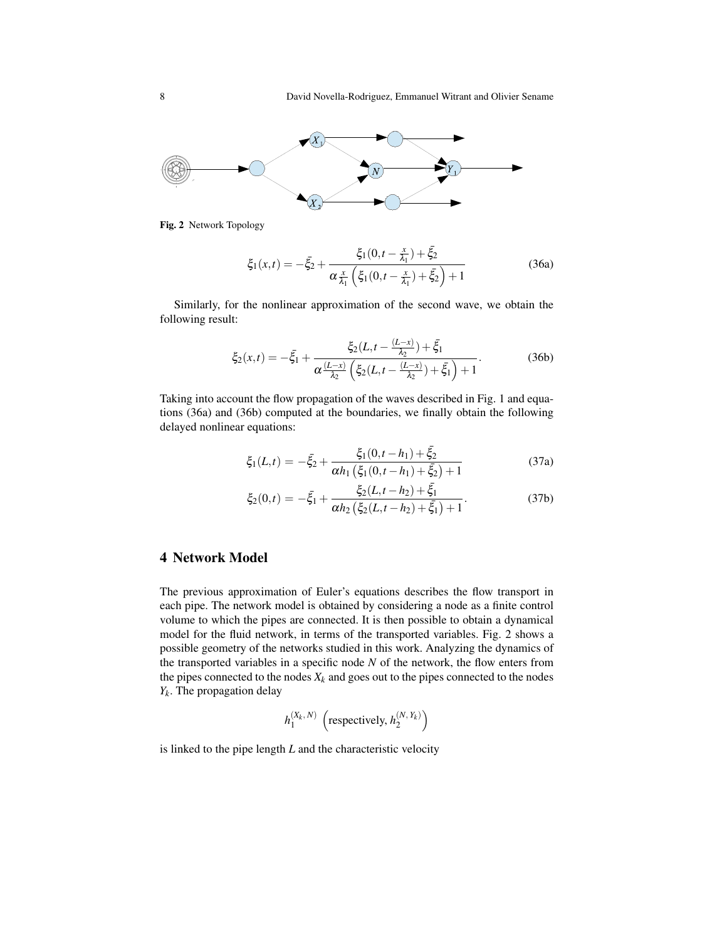

Fig. 2 Network Topology

$$
\xi_1(x,t) = -\bar{\xi}_2 + \frac{\xi_1(0,t - \frac{x}{\lambda_1}) + \bar{\xi}_2}{\alpha \frac{x}{\lambda_1} \left(\xi_1(0,t - \frac{x}{\lambda_1}) + \bar{\xi}_2\right) + 1}
$$
(36a)

Similarly, for the nonlinear approximation of the second wave, we obtain the following result:

$$
\xi_2(x,t) = -\bar{\xi}_1 + \frac{\xi_2(L,t - \frac{(L-x)}{\lambda_2}) + \bar{\xi}_1}{\alpha \frac{(L-x)}{\lambda_2} \left(\xi_2(L,t - \frac{(L-x)}{\lambda_2}) + \bar{\xi}_1\right) + 1}.
$$
 (36b)

Taking into account the flow propagation of the waves described in Fig. 1 and equations (36a) and (36b) computed at the boundaries, we finally obtain the following delayed nonlinear equations:

$$
\xi_1(L,t) = -\bar{\xi}_2 + \frac{\xi_1(0,t-h_1) + \bar{\xi}_2}{\alpha h_1 \left(\xi_1(0,t-h_1) + \bar{\xi}_2\right) + 1}
$$
(37a)

$$
\xi_2(0,t) = -\bar{\xi}_1 + \frac{\xi_2(L,t-h_2) + \bar{\xi}_1}{\alpha h_2 \left(\xi_2(L,t-h_2) + \bar{\xi}_1\right) + 1}.
$$
\n(37b)

#### 4 Network Model

The previous approximation of Euler's equations describes the flow transport in each pipe. The network model is obtained by considering a node as a finite control volume to which the pipes are connected. It is then possible to obtain a dynamical model for the fluid network, in terms of the transported variables. Fig. 2 shows a possible geometry of the networks studied in this work. Analyzing the dynamics of the transported variables in a specific node  $N$  of the network, the flow enters from the pipes connected to the nodes  $X_k$  and goes out to the pipes connected to the nodes *Yk* . The propagation delay

$$
h_1^{(X_k, N)}\ \left(\text{respectively, } h_2^{(N, Y_k)}\right)
$$

is linked to the pipe length *L* and the characteristic velocity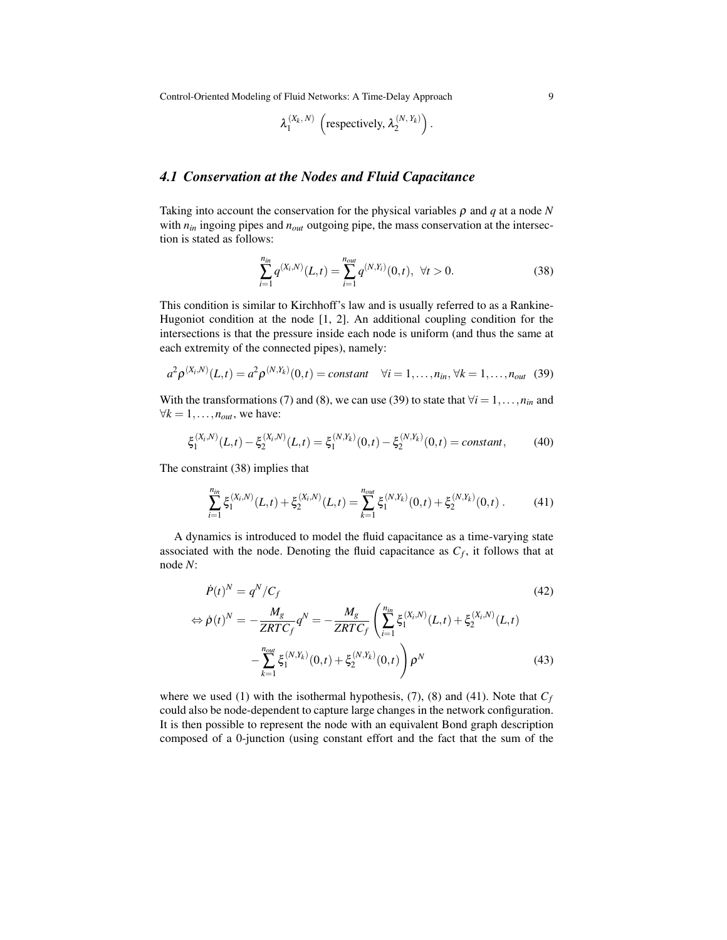$$
\lambda_1^{(X_k, N)} \left( \text{respectively, } \lambda_2^{(N, Y_k)} \right).
$$

#### *4.1 Conservation at the Nodes and Fluid Capacitance*

Taking into account the conservation for the physical variables  $\rho$  and  $q$  at a node  $N$ with  $n_{in}$  ingoing pipes and  $n_{out}$  outgoing pipe, the mass conservation at the intersection is stated as follows:

$$
\sum_{i=1}^{n_{in}} q^{(X_i,N)}(L,t) = \sum_{i=1}^{n_{out}} q^{(N,Y_i)}(0,t), \ \forall t > 0.
$$
 (38)

This condition is similar to Kirchhoff's law and is usually referred to as a Rankine-Hugoniot condition at the node [1, 2]. An additional coupling condition for the intersections is that the pressure inside each node is uniform (and thus the same at each extremity of the connected pipes), namely:

$$
a^{2} \rho^{(X_{i},N)}(L,t) = a^{2} \rho^{(N,Y_{k})}(0,t) = constant \quad \forall i = 1,...,n_{in}, \forall k = 1,...,n_{out} \quad (39)
$$

With the transformations (7) and (8), we can use (39) to state that  $\forall i = 1, \ldots, n_{in}$  and  $\forall k = 1, \ldots, n_{out}$ , we have:

$$
\xi_1^{(X_i,N)}(L,t) - \xi_2^{(X_i,N)}(L,t) = \xi_1^{(N,Y_k)}(0,t) - \xi_2^{(N,Y_k)}(0,t) = constant,\t(40)
$$

The constraint (38) implies that

$$
\sum_{i=1}^{n_{in}} \xi_1^{(X_i,N)}(L,t) + \xi_2^{(X_i,N)}(L,t) = \sum_{k=1}^{n_{out}} \xi_1^{(N,Y_k)}(0,t) + \xi_2^{(N,Y_k)}(0,t) . \tag{41}
$$

A dynamics is introduced to model the fluid capacitance as a time-varying state associated with the node. Denoting the fluid capacitance as  $C_f$ , it follows that at node *N*:

$$
\dot{P}(t)^N = q^N / C_f \tag{42}
$$

$$
\Leftrightarrow \dot{\rho}(t)^N = -\frac{M_g}{ZRTC_f}q^N = -\frac{M_g}{ZRTC_f} \left( \sum_{i=1}^{n_{in}} \xi_1^{(X_i,N)}(L,t) + \xi_2^{(X_i,N)}(L,t) - \sum_{k=1}^{n_{out}} \xi_1^{(N,Y_k)}(0,t) + \xi_2^{(N,Y_k)}(0,t) \right) \rho^N
$$
\n(43)

where we used (1) with the isothermal hypothesis, (7), (8) and (41). Note that  $C_f$ could also be node-dependent to capture large changes in the network configuration. It is then possible to represent the node with an equivalent Bond graph description composed of a 0-junction (using constant effort and the fact that the sum of the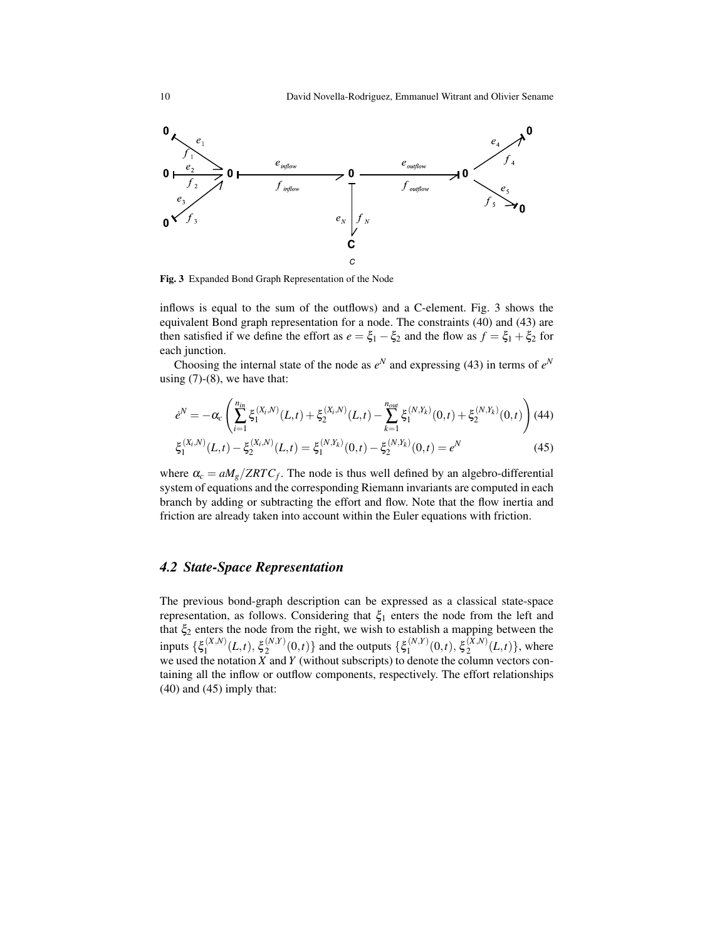

Fig. 3 Expanded Bond Graph Representation of the Node

inflows is equal to the sum of the outflows) and a C-element. Fig. 3 shows the equivalent Bond graph representation for a node. The constraints (40) and (43) are then satisfied if we define the effort as  $e = \xi_1 - \xi_2$  and the flow as  $f = \xi_1 + \xi_2$  for each junction.

Choosing the internal state of the node as  $e^N$  and expressing (43) in terms of  $e^N$ using  $(7)-(8)$ , we have that:

$$
\dot{e}^N = -\alpha_c \left( \sum_{i=1}^{n_{in}} \xi_1^{(X_i, N)}(L, t) + \xi_2^{(X_i, N)}(L, t) - \sum_{k=1}^{n_{out}} \xi_1^{(N, Y_k)}(0, t) + \xi_2^{(N, Y_k)}(0, t) \right) (44)
$$

$$
\xi_1^{(X_i,N)}(L,t) - \xi_2^{(X_i,N)}(L,t) = \xi_1^{(N,Y_k)}(0,t) - \xi_2^{(N,Y_k)}(0,t) = e^N
$$
\n(45)

where  $\alpha_c = aM_g/ZRTC_f$ . The node is thus well defined by an algebro-differential system of equations and the corresponding Riemann invariants are computed in each branch by adding or subtracting the effort and flow. Note that the flow inertia and friction are already taken into account within the Euler equations with friction.

#### *4.2 State-Space Representation*

The previous bond-graph description can be expressed as a classical state-space representation, as follows. Considering that  $\xi_1$  enters the node from the left and that  $\xi_2$  enters the node from the right, we wish to establish a mapping between the inputs  $\{\xi_1^{(X,N)}\}$  $\mathcal{E}_1^{(X,N)}(L,t), \, \mathcal{E}_2^{(N,Y)}$  $\binom{(N,Y)}{2}(0,t)$ } and the outputs  $\{\xi_1^{(N,Y)}\}$  $\mathcal{E}_1^{(N,Y)}(0,t),$   $\xi_2^{(X,N)}$  $\binom{(A,N)}{2}(L,t)$ , where we used the notation *X* and *Y* (without subscripts) to denote the column vectors containing all the inflow or outflow components, respectively. The effort relationships  $(40)$  and  $(45)$  imply that: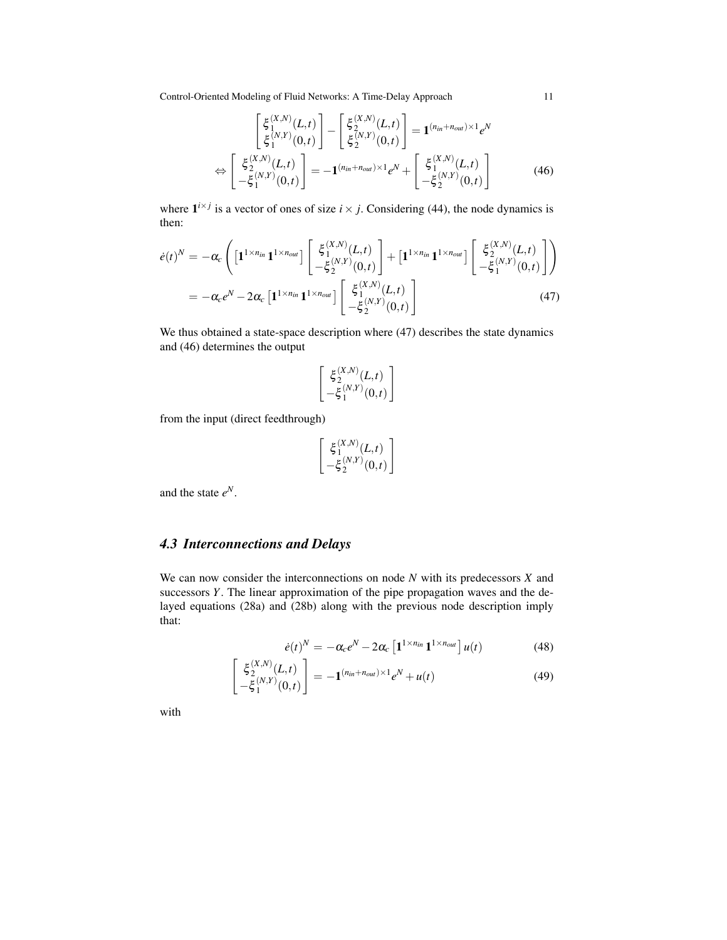$$
\begin{bmatrix} \xi_1^{(X,N)}(L,t) \\ \xi_1^{(N,Y)}(0,t) \end{bmatrix} - \begin{bmatrix} \xi_2^{(X,N)}(L,t) \\ \xi_2^{(N,Y)}(0,t) \end{bmatrix} = \mathbf{1}^{(n_{in}+n_{out})\times 1} e^N
$$
  
\n
$$
\Leftrightarrow \begin{bmatrix} \xi_2^{(X,N)}(L,t) \\ -\xi_1^{(N,Y)}(0,t) \end{bmatrix} = -\mathbf{1}^{(n_{in}+n_{out})\times 1} e^N + \begin{bmatrix} \xi_1^{(X,N)}(L,t) \\ -\xi_2^{(N,Y)}(0,t) \end{bmatrix}
$$
(46)

where  $\mathbf{1}^{i \times j}$  is a vector of ones of size  $i \times j$ . Considering (44), the node dynamics is then:

$$
\dot{e}(t)^{N} = -\alpha_{c} \left( \left[ \mathbf{1}^{1 \times n_{in}} \mathbf{1}^{1 \times n_{out}} \right] \left[ \begin{array}{c} \xi_{1}^{(X,N)}(L,t) \\ -\xi_{2}^{(N,Y)}(0,t) \end{array} \right] + \left[ \mathbf{1}^{1 \times n_{in}} \mathbf{1}^{1 \times n_{out}} \right] \left[ \begin{array}{c} \xi_{2}^{(X,N)}(L,t) \\ -\xi_{1}^{(N,Y)}(0,t) \end{array} \right] \right)
$$
\n
$$
= -\alpha_{c} e^{N} - 2\alpha_{c} \left[ \mathbf{1}^{1 \times n_{in}} \mathbf{1}^{1 \times n_{out}} \right] \left[ \begin{array}{c} \xi_{1}^{(X,N)}(L,t) \\ -\xi_{2}^{(N,Y)}(0,t) \end{array} \right] \tag{47}
$$

We thus obtained a state-space description where (47) describes the state dynamics and (46) determines the output

$$
\begin{bmatrix} \xi_2^{(X,N)}(L,t) \\ -\xi_1^{(N,Y)}(0,t) \end{bmatrix}
$$

from the input (direct feedthrough)

$$
\begin{bmatrix} \xi_1^{(X,N)}(L,t) \\ -\xi_2^{(N,Y)}(0,t) \end{bmatrix}
$$

and the state *e N*.

# *4.3 Interconnections and Delays*

We can now consider the interconnections on node *N* with its predecessors *X* and successors *Y*. The linear approximation of the pipe propagation waves and the delayed equations (28a) and (28b) along with the previous node description imply that:

$$
\dot{e}(t)^N = -\alpha_c e^N - 2\alpha_c \left[ \mathbf{1}^{1 \times n_{in}} \mathbf{1}^{1 \times n_{out}} \right] u(t) \tag{48}
$$

$$
\begin{bmatrix} \xi_2^{(X,N)}(L,t) \\ -\xi_1^{(N,Y)}(0,t) \end{bmatrix} = -\mathbf{1}^{(n_{in}+n_{out})\times 1} e^N + u(t)
$$
 (49)

with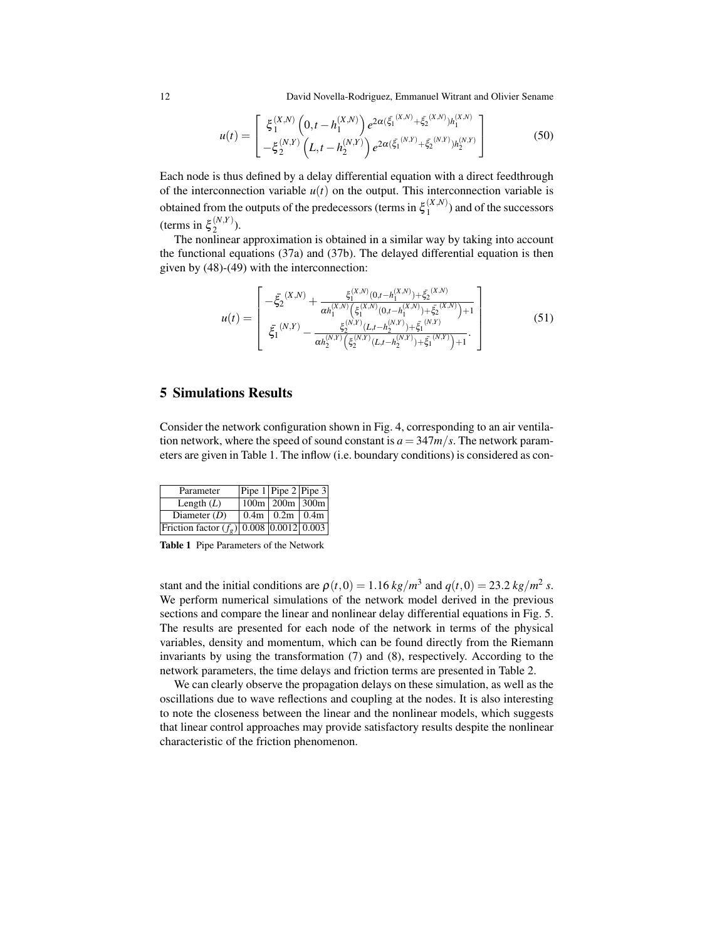12 David Novella-Rodriguez, Emmanuel Witrant and Olivier Sename

$$
u(t) = \begin{bmatrix} \xi_1^{(X,N)}\left(0,t-h_1^{(X,N)}\right)e^{2\alpha(\xi_1^{(X,N)} + \xi_2^{(X,N)})h_1^{(X,N)}}\\ -\xi_2^{(N,Y)}\left(L,t-h_2^{(N,Y)}\right)e^{2\alpha(\xi_1^{(N,Y)} + \xi_2^{(N,Y)})h_2^{(N,Y)}} \end{bmatrix}
$$
(50)

Each node is thus defined by a delay differential equation with a direct feedthrough of the interconnection variable  $u(t)$  on the output. This interconnection variable is obtained from the outputs of the predecessors (terms in  $\xi_1^{(X,N)}$  $1^{(A,N)}$ ) and of the successors (terms in  $\xi_2^{(N,Y)}$  $\binom{(N,1)}{2}$ .

The nonlinear approximation is obtained in a similar way by taking into account the functional equations (37a) and (37b). The delayed differential equation is then given by (48)-(49) with the interconnection:

$$
u(t) = \begin{bmatrix} -\xi_2^{(X,N)} + \frac{\xi_1^{(X,N)}(0, t - h_1^{(X,N)}) + \xi_2^{(X,N)}}{\alpha h_1^{(X,N)}(\xi_1^{(X,N)}(0, t - h_1^{(X,N)}) + \xi_2^{(X,N)}) + 1} \\ \xi_1^{(N,Y)} - \frac{\xi_2^{(N,Y)}(t, t - h_2^{(N,Y)}) + \xi_1^{(N,Y)}}{\alpha h_2^{(N,Y)}(\xi_2^{(N,Y)}(t, t - h_2^{(N,Y)}) + \xi_1^{(N,Y)}) + 1} \end{bmatrix}
$$
(51)

# 5 Simulations Results

Consider the network configuration shown in Fig. 4, corresponding to an air ventilation network, where the speed of sound constant is  $a = 347m/s$ . The network parameters are given in Table 1. The inflow (i.e. boundary conditions) is considered as con-

| Parameter                                  | Pipe $1$ Pipe $2$ Pipe 3 |  |
|--------------------------------------------|--------------------------|--|
| Length $(L)$                               | $100m$   200m   300m     |  |
| Diameter $(D)$                             | $0.4m$   $0.2m$   $0.4m$ |  |
| Friction factor $(f_g)$ 0.008 0.0012 0.003 |                          |  |

Table 1 Pipe Parameters of the Network

stant and the initial conditions are  $\rho(t,0) = 1.16 \frac{kg}{m^3}$  and  $q(t,0) = 23.2 \frac{kg}{m^2}$  *s*. We perform numerical simulations of the network model derived in the previous sections and compare the linear and nonlinear delay differential equations in Fig. 5. The results are presented for each node of the network in terms of the physical variables, density and momentum, which can be found directly from the Riemann invariants by using the transformation (7) and (8), respectively. According to the network parameters, the time delays and friction terms are presented in Table 2.

We can clearly observe the propagation delays on these simulation, as well as the oscillations due to wave reflections and coupling at the nodes. It is also interesting to note the closeness between the linear and the nonlinear models, which suggests that linear control approaches may provide satisfactory results despite the nonlinear characteristic of the friction phenomenon.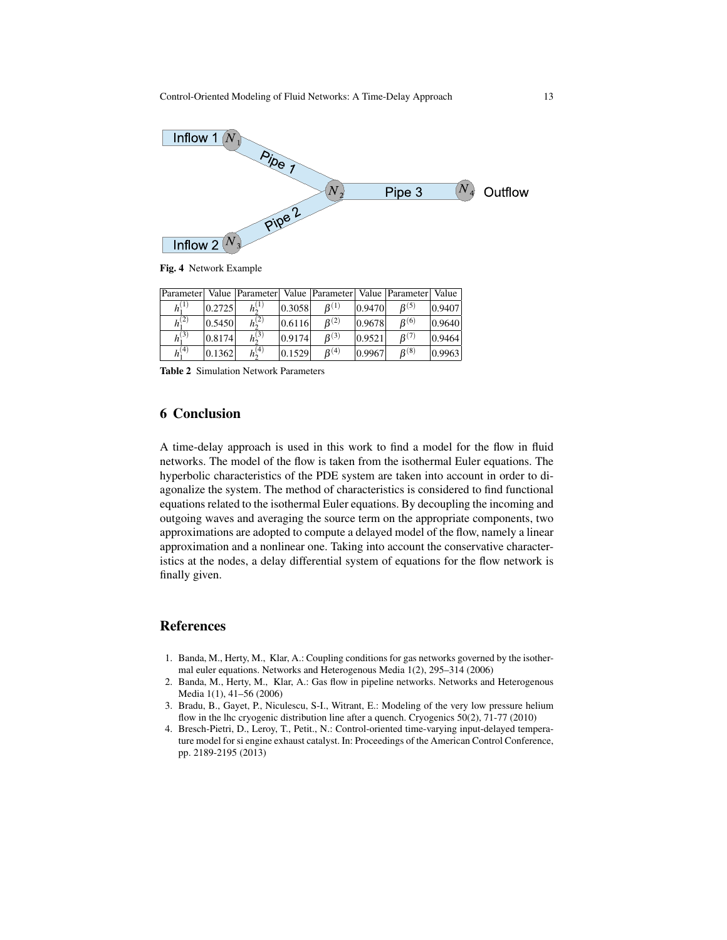

Fig. 4 Network Example

| Parameter              |        | Value   Parameter   Value   Parameter   Value   Parameter   Value |        |                     |        |                  |        |
|------------------------|--------|-------------------------------------------------------------------|--------|---------------------|--------|------------------|--------|
| $h^{(1)}$              | 0.2725 | $h_{2}^{(1)}$                                                     | 0.3058 | $B^{(1)}$           | 0.9470 | B(5)             | 0.9407 |
| $\overline{h_1^{(2)}}$ | 0.5450 | $h_2^{(2)}$                                                       | 0.6116 | $R^{(2)}$           | 0.9678 | $B^{(6)}$        | 0.9640 |
| $h_1^{(3)}$            | 0.8174 | $h_2^{(3)}$                                                       | 0.9174 | B <sup>(3)</sup>    | 0.9521 | B <sup>(7)</sup> | 0.9464 |
| $h_1^{(4)}$            | 0.1362 | $h_2^{(4)}$                                                       | 0.1529 | $\mathcal{B}^{(4)}$ | 0.9967 | $B^{(8)}$        | 0.9963 |

Table 2 Simulation Network Parameters

# 6 Conclusion

A time-delay approach is used in this work to find a model for the flow in fluid networks. The model of the flow is taken from the isothermal Euler equations. The hyperbolic characteristics of the PDE system are taken into account in order to diagonalize the system. The method of characteristics is considered to find functional equations related to the isothermal Euler equations. By decoupling the incoming and outgoing waves and averaging the source term on the appropriate components, two approximations are adopted to compute a delayed model of the flow, namely a linear approximation and a nonlinear one. Taking into account the conservative characteristics at the nodes, a delay differential system of equations for the flow network is finally given.

#### References

- 1. Banda, M., Herty, M., Klar, A.: Coupling conditions for gas networks governed by the isothermal euler equations. Networks and Heterogenous Media 1(2), 295–314 (2006)
- 2. Banda, M., Herty, M., Klar, A.: Gas flow in pipeline networks. Networks and Heterogenous Media 1(1), 41–56 (2006)
- 3. Bradu, B., Gayet, P., Niculescu, S-I., Witrant, E.: Modeling of the very low pressure helium flow in the lhc cryogenic distribution line after a quench. Cryogenics 50(2), 71-77 (2010)
- 4. Bresch-Pietri, D., Leroy, T., Petit., N.: Control-oriented time-varying input-delayed temperature model for si engine exhaust catalyst. In: Proceedings of the American Control Conference, pp. 2189-2195 (2013)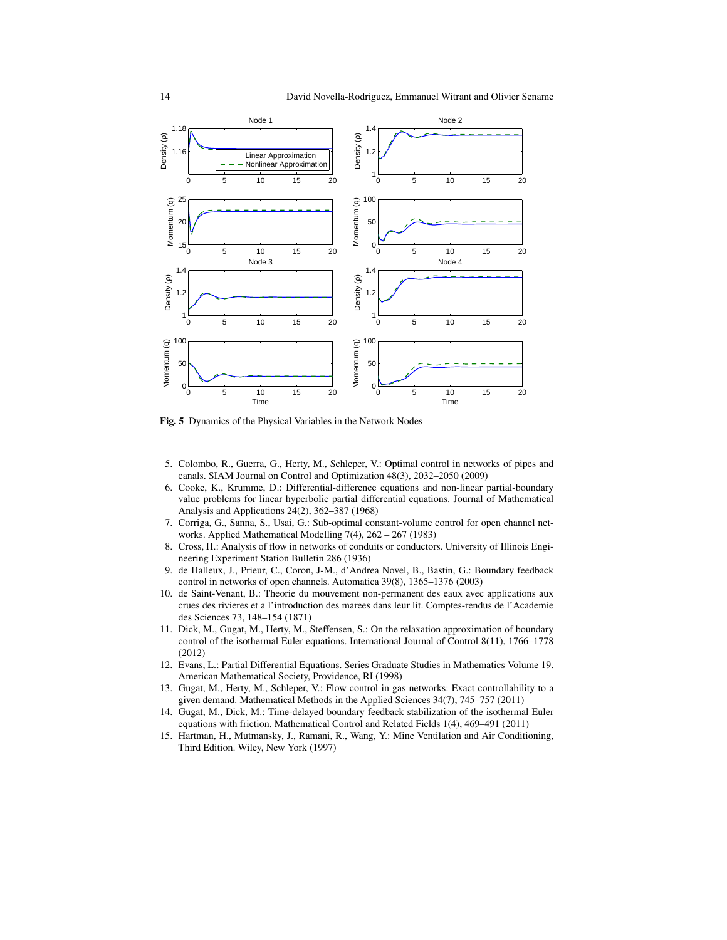

Fig. 5 Dynamics of the Physical Variables in the Network Nodes

- 5. Colombo, R., Guerra, G., Herty, M., Schleper, V.: Optimal control in networks of pipes and canals. SIAM Journal on Control and Optimization 48(3), 2032–2050 (2009)
- 6. Cooke, K., Krumme, D.: Differential-difference equations and non-linear partial-boundary value problems for linear hyperbolic partial differential equations. Journal of Mathematical Analysis and Applications 24(2), 362–387 (1968)
- 7. Corriga, G., Sanna, S., Usai, G.: Sub-optimal constant-volume control for open channel networks. Applied Mathematical Modelling 7(4), 262 – 267 (1983)
- 8. Cross, H.: Analysis of flow in networks of conduits or conductors. University of Illinois Engineering Experiment Station Bulletin 286 (1936)
- 9. de Halleux, J., Prieur, C., Coron, J-M., d'Andrea Novel, B., Bastin, G.: Boundary feedback control in networks of open channels. Automatica 39(8), 1365–1376 (2003)
- 10. de Saint-Venant, B.: Theorie du mouvement non-permanent des eaux avec applications aux crues des rivieres et a l'introduction des marees dans leur lit. Comptes-rendus de l'Academie des Sciences 73, 148–154 (1871)
- 11. Dick, M., Gugat, M., Herty, M., Steffensen, S.: On the relaxation approximation of boundary control of the isothermal Euler equations. International Journal of Control 8(11), 1766–1778 (2012)
- 12. Evans, L.: Partial Differential Equations. Series Graduate Studies in Mathematics Volume 19. American Mathematical Society, Providence, RI (1998)
- 13. Gugat, M., Herty, M., Schleper, V.: Flow control in gas networks: Exact controllability to a given demand. Mathematical Methods in the Applied Sciences 34(7), 745–757 (2011)
- 14. Gugat, M., Dick, M.: Time-delayed boundary feedback stabilization of the isothermal Euler equations with friction. Mathematical Control and Related Fields 1(4), 469–491 (2011)
- 15. Hartman, H., Mutmansky, J., Ramani, R., Wang, Y.: Mine Ventilation and Air Conditioning, Third Edition. Wiley, New York (1997)